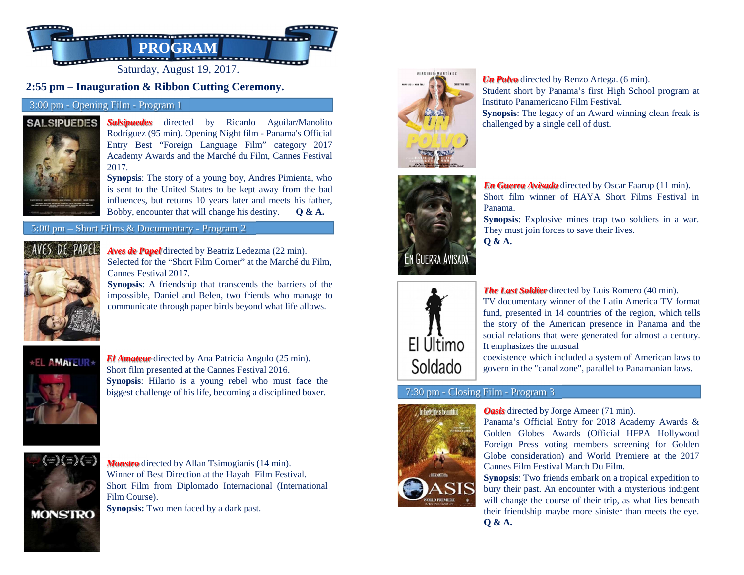

# **2:55 pm** – **Inauguration & Ribbon Cutting Ceremony.**

### 3:00 pm - Opening Film - Program 1

#### **SALSIPUEDES**



*Salsipuedes* directed by Ricardo Aguilar/Manolito Rodríguez (95 min). Opening Night film - Panama's Official Entry Best "Foreign Language Film" category 2017 Academy Awards and the Marché du Film, Cannes Festival2017.

 **Synopsis**: The story of <sup>a</sup> young boy, Andres Pimienta, who is sent to the United States to be kept away from the bad influences, but returns 10 years later and meets his father, Bobby, encounter that will change his destiny. **Q & A.**

#### 5:00 pm – Short Films & Documentary - Program 2



*Aves de Papel* directed by Beatriz Ledezma (22 min). Selected for the "Short Film Corner" at the Marché du Film, Cannes Festival 2017.

**Synopsis**: A friendship that transcends the barriers of the impossible, Daniel and Belen, two friends who manage tocommunicate through paper birds beyond what life allows.



*El Amateur* directed by Ana Patricia Angulo (25 min). Short film presented at the Cannes Festival 2016. **Synopsis**: Hilario is <sup>a</sup> young rebel who must face the



biggest challenge of his life, becoming <sup>a</sup> disciplined boxer.



*Monstro* directed by Allan Tsimogianis (14 min). Winner of Best Direction at the Hayah Film Festival. Short Film from Diplomado Internacional (InternationalFilm Course).

**Synopsis:** Two men faced by <sup>a</sup> dark past.



*Un Polvo* directed by Renzo Artega. (6 min). Student short by Panama's first High School program atInstituto Panamericano Film Festival. **Synopsis**: The legacy of an Award winning clean freak ischallenged by <sup>a</sup> single cell of dust.



*En Guerra Avisada* directed by Oscar Faarup (11 min). Short film winner of HAYA Short Films Festival inPanama.

**Synopsis**: Explosive mines trap two soldiers in <sup>a</sup> war. They must join forces to save their lives. **Q & A.**



*The Last Soldier* directed by Luis Romero (40 min). TV documentary winner of the Latin America TV format

 fund, presented in 14 countries of the region, which tells the story of the American presence in Panama and the social relations that were generated for almost <sup>a</sup> century. It emphasizes the unusual

 coexistence which included <sup>a</sup> system of American laws togovern in the "canal zone", parallel to Panamanian laws.

## 7:30 pm - Closing Film - Program 3



## *Oasis* directed by Jorge Ameer (71 min).

Panama's Official Entry for 2018 Academy Awards & Golden Globes Awards (Official HFPA Hollywood Foreign Press voting members screening for Golden Globe consideration) and World Premiere at the 2017Cannes Film Festival March Du Film.

**Synopsis**: Two friends embark on <sup>a</sup> tropical expedition to bury their past. An encounter with <sup>a</sup> mysterious indigentwill change the course of their trip, as what lies beneath their friendship maybe more sinister than meets the eye. **Q & A.**